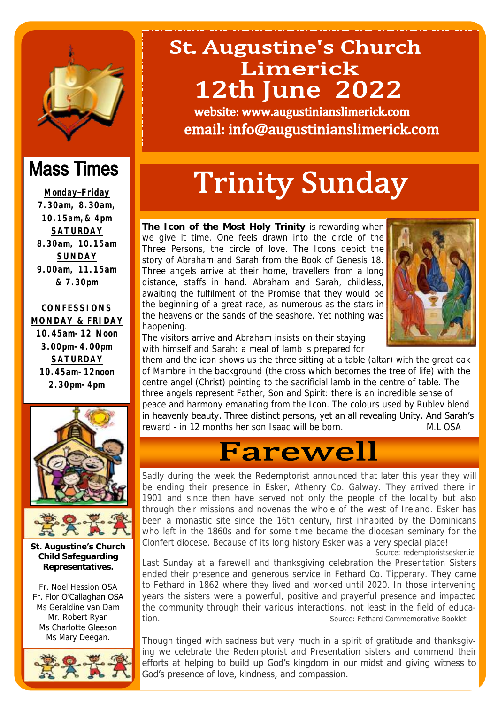

### **Mass Times**

**Monday–Friday 7.30am, 8.30am, 10.15am,& 4pm SATURDAY 8.30am, 10.15am SUNDAY 9.00am, 11.15am & 7.30pm**

**CONFESSIONS MONDAY & FRIDAY 10.45am-12 Noon 3.00pm-4.00pm SATURDAY 10.45am-12noon 2.30pm-4pm**





**St. Augustine's Church Child Safeguarding Representatives.**

Fr. Noel Hession OSA Fr. Flor O'Callaghan OSA Ms Geraldine van Dam Mr. Robert Ryan Ms Charlotte Gleeson Ms Mary Deegan.



# **St. Augustine's Church** Limerick **12th June 2022**

website: www.augustinianslimerick.com email: info@augustinianslimerick.com

# **Trinity Sunday**

**The Icon of the Most Holy Trinity** is rewarding when we give it time. One feels drawn into the circle of the Three Persons, the circle of love. The Icons depict the story of Abraham and Sarah from the Book of Genesis 18. Three angels arrive at their home, travellers from a long distance, staffs in hand. Abraham and Sarah, childless, awaiting the fulfilment of the Promise that they would be the beginning of a great race, as numerous as the stars in the heavens or the sands of the seashore. Yet nothing was happening.



The visitors arrive and Abraham insists on their staying with himself and Sarah: a meal of lamb is prepared for

them and the icon shows us the three sitting at a table (altar) with the great oak of Mambre in the background (the cross which becomes the tree of life) with the centre angel (Christ) pointing to the sacrificial lamb in the centre of table. The three angels represent Father, Son and Spirit: there is an incredible sense of peace and harmony emanating from the Icon. The colours used by Rublev blend in heavenly beauty. Three distinct persons, yet an all revealing Unity. And Sarah's reward - in 12 months her son Isaac will be born. M.L OSA

# Farewell

Sadly during the week the Redemptorist announced that later this year they will be ending their presence in Esker, Athenry Co. Galway. They arrived there in 1901 and since then have served not only the people of the locality but also through their missions and novenas the whole of the west of Ireland. Esker has been a monastic site since the 16th century, first inhabited by the Dominicans who left in the 1860s and for some time became the diocesan seminary for the Clonfert diocese. Because of its long history Esker was a very special place!

 Source: redemptoristsesker.ie Last Sunday at a farewell and thanksgiving celebration the Presentation Sisters ended their presence and generous service in Fethard Co. Tipperary. They came to Fethard in 1862 where they lived and worked until 2020. In those intervening years the sisters were a powerful, positive and prayerful presence and impacted the community through their various interactions, not least in the field of education. Source: Fethard Commemorative Booklet

Though tinged with sadness but very much in a spirit of gratitude and thanksgiving we celebrate the Redemptorist and Presentation sisters and commend their efforts at helping to build up God's kingdom in our midst and giving witness to God's presence of love, kindness, and compassion.